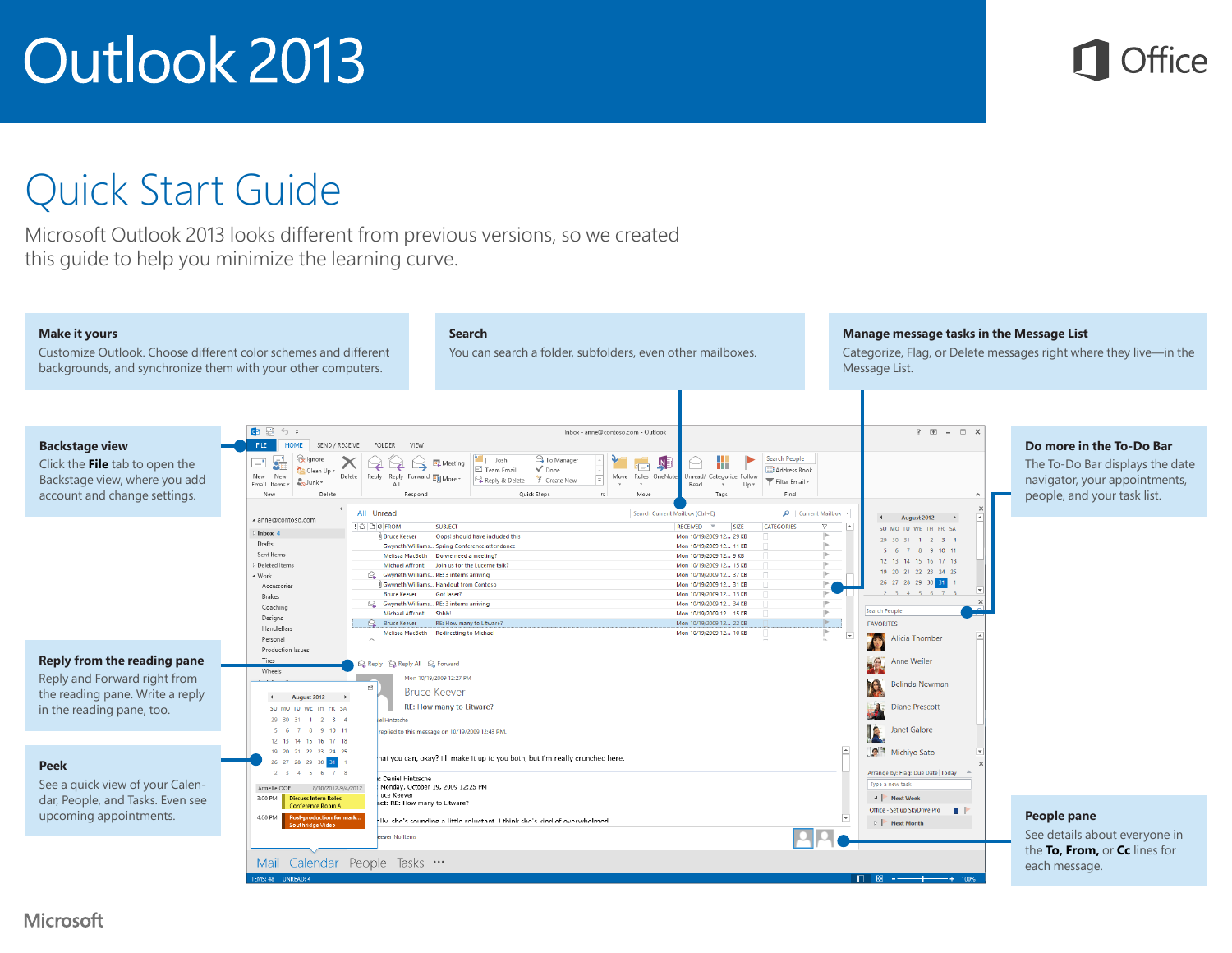

#### Quick Start Guide

Microsoft Outlook 2013 looks different from previous versions, so we created this guide to help you minimize the learning curve.

#### **Make it yours**

Customize Outlook. Choose different color schemes and different backgrounds, and synchronize them with your other computers.

#### **Search**

You can search a folder, subfolders, even other mailboxes.

#### **Manage message tasks in the Message List**

Categorize, Flag, or Delete messages right where they live—in the Message List.



#### **Microsoft**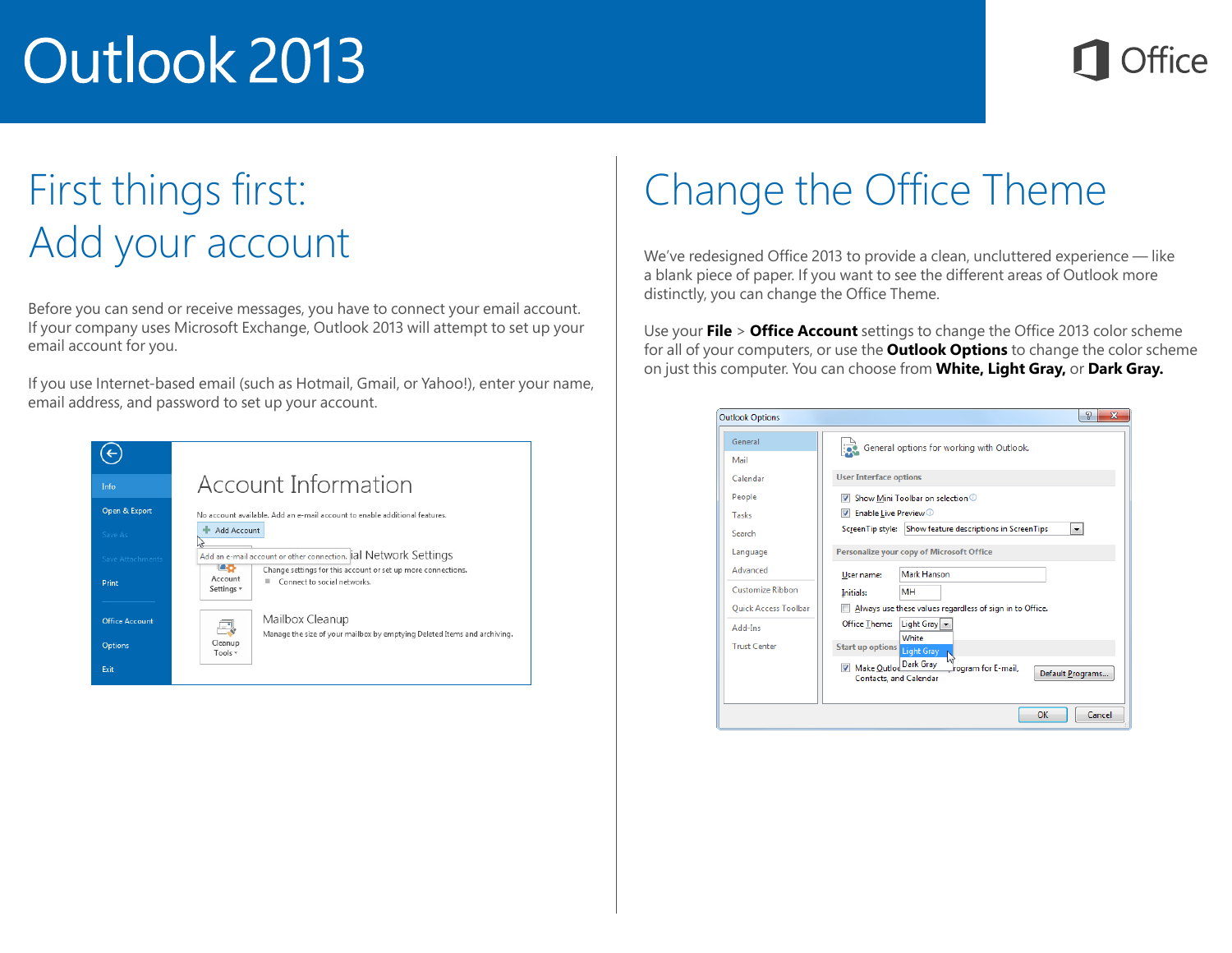### First things first: Add your account

Before you can send or receive messages, you have to connect your email account. If your company uses Microsoft Exchange, Outlook 2013 will attempt to set up your email account for you.

If you use Internet-based email (such as Hotmail, Gmail, or Yahoo!), enter your name, email address, and password to set up your account.



## Change the Office Theme

We've redesigned Office 2013 to provide a clean, uncluttered experience — like a blank piece of paper. If you want to see the different areas of Outlook more distinctly, you can change the Office Theme.

Use your **File** > **Office Account** settings to change the Office 2013 color scheme for all of your computers, or use the **Outlook Options** to change the color scheme on just this computer. You can choose from **White, Light Gray,** or **Dark Gray.**

| <b>Outlook Options</b>                          | P<br>x                                                                                                      |  |  |
|-------------------------------------------------|-------------------------------------------------------------------------------------------------------------|--|--|
| General                                         | General options for working with Outlook.                                                                   |  |  |
| Mail<br>Calendar                                | <b>User Interface options</b>                                                                               |  |  |
| People                                          | Show Mini Toolbar on selection 1                                                                            |  |  |
| Tasks                                           | Enable Live Preview <sup>1</sup><br>V                                                                       |  |  |
| Search                                          | Show feature descriptions in ScreenTips<br>ScreenTip style:<br>$\overline{\phantom{a}}$                     |  |  |
| Language                                        | Personalize your copy of Microsoft Office                                                                   |  |  |
| Advanced                                        | Mark Hanson<br>User name:                                                                                   |  |  |
| Customize Ribbon<br><b>Quick Access Toolbar</b> | <b>MH</b><br>Initials:<br>Always use these values regardless of sign in to Office.                          |  |  |
| Add-Ins                                         | Office Theme:<br>Light Gray                                                                                 |  |  |
| <b>Trust Center</b>                             | White<br>Start up options Light Gray                                                                        |  |  |
|                                                 | Make Outloo Dark Gray<br>$\overline{J}$<br>rogram for E-mail.<br>Default Programs<br>Contacts, and Calendar |  |  |
|                                                 | OK<br>Cancel                                                                                                |  |  |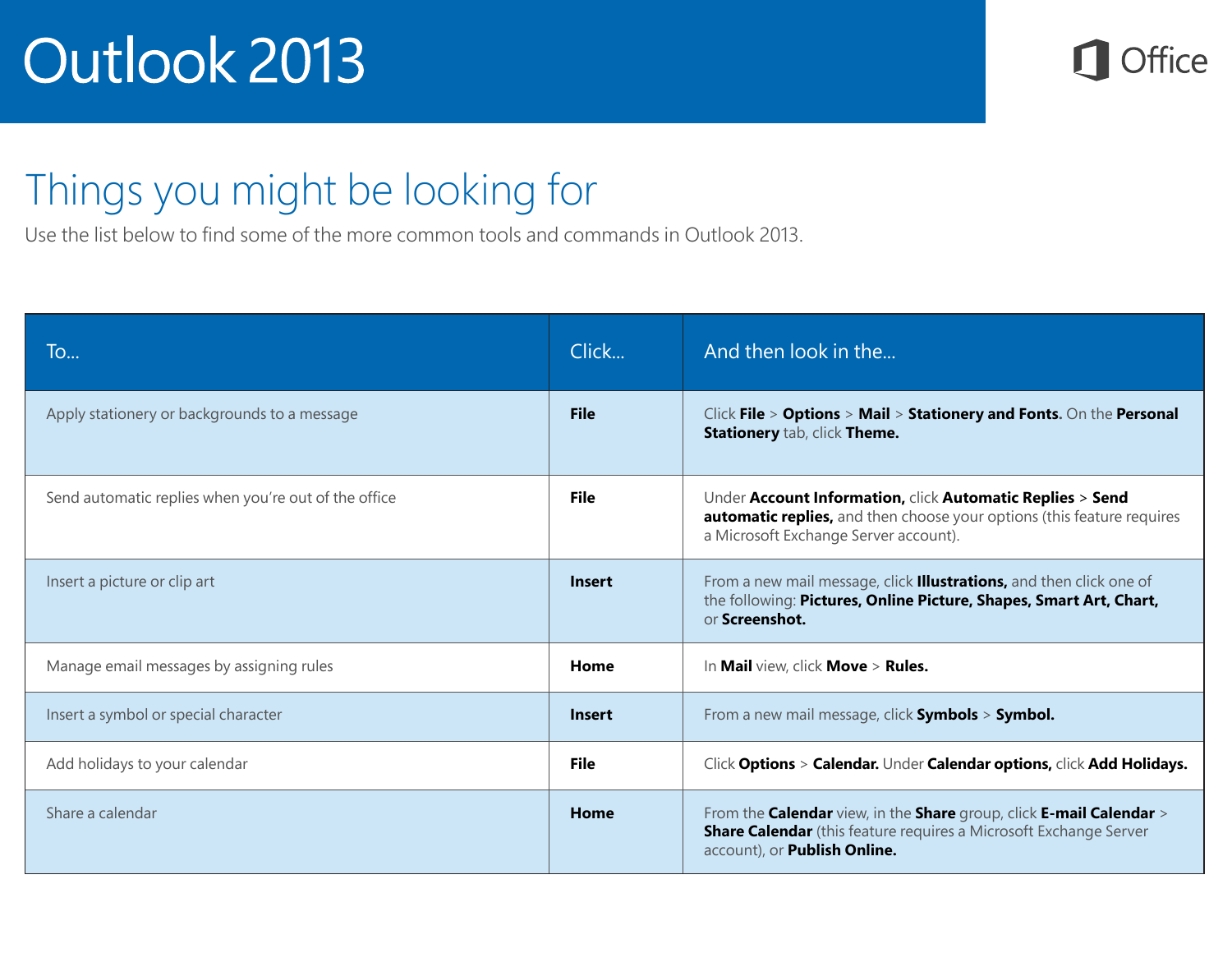

#### Things you might be looking for

Use the list below to find some of the more common tools and commands in Outlook 2013.

| To                                                   | Click         | And then look in the                                                                                                                                                            |
|------------------------------------------------------|---------------|---------------------------------------------------------------------------------------------------------------------------------------------------------------------------------|
| Apply stationery or backgrounds to a message         | <b>File</b>   | Click File > Options > Mail > Stationery and Fonts. On the Personal<br>Stationery tab, click Theme.                                                                             |
| Send automatic replies when you're out of the office | <b>File</b>   | Under Account Information, click Automatic Replies > Send<br>automatic replies, and then choose your options (this feature requires<br>a Microsoft Exchange Server account).    |
| Insert a picture or clip art                         | <b>Insert</b> | From a new mail message, click <b>Illustrations,</b> and then click one of<br>the following: Pictures, Online Picture, Shapes, Smart Art, Chart,<br>or Screenshot.              |
| Manage email messages by assigning rules             | Home          | In Mail view, click Move > Rules.                                                                                                                                               |
| Insert a symbol or special character                 | <b>Insert</b> | From a new mail message, click Symbols > Symbol.                                                                                                                                |
| Add holidays to your calendar                        | <b>File</b>   | Click Options > Calendar. Under Calendar options, click Add Holidays.                                                                                                           |
| Share a calendar                                     | Home          | From the Calendar view, in the Share group, click E-mail Calendar ><br><b>Share Calendar</b> (this feature requires a Microsoft Exchange Server<br>account), or Publish Online. |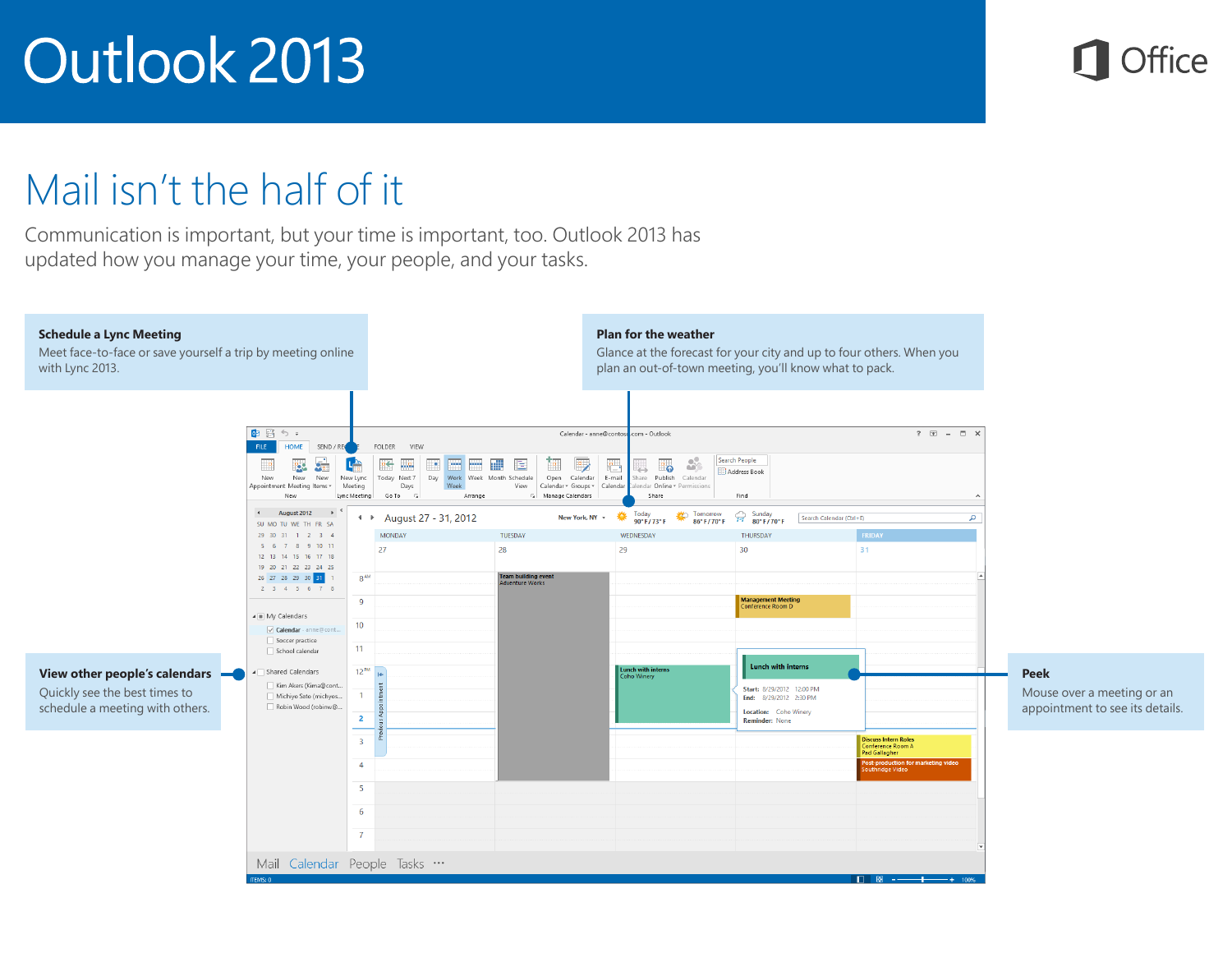

### Mail isn't the half of it

Communication is important, but your time is important, too. Outlook 2013 has updated how you manage your time, your people, and your tasks.